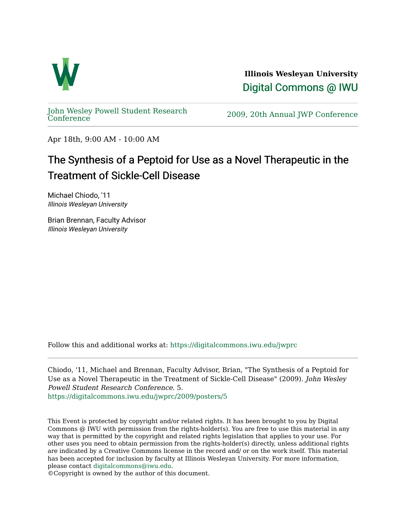

**Illinois Wesleyan University**  [Digital Commons @ IWU](https://digitalcommons.iwu.edu/) 

[John Wesley Powell Student Research](https://digitalcommons.iwu.edu/jwprc) 

2009, 20th Annual JWP [Conference](https://digitalcommons.iwu.edu/jwprc)

Apr 18th, 9:00 AM - 10:00 AM

## The Synthesis of a Peptoid for Use as a Novel Therapeutic in the Treatment of Sickle-Cell Disease

Michael Chiodo, '11 Illinois Wesleyan University

Brian Brennan, Faculty Advisor Illinois Wesleyan University

Follow this and additional works at: [https://digitalcommons.iwu.edu/jwprc](https://digitalcommons.iwu.edu/jwprc?utm_source=digitalcommons.iwu.edu%2Fjwprc%2F2009%2Fposters%2F5&utm_medium=PDF&utm_campaign=PDFCoverPages) 

Chiodo, '11, Michael and Brennan, Faculty Advisor, Brian, "The Synthesis of a Peptoid for Use as a Novel Therapeutic in the Treatment of Sickle-Cell Disease" (2009). John Wesley Powell Student Research Conference. 5. [https://digitalcommons.iwu.edu/jwprc/2009/posters/5](https://digitalcommons.iwu.edu/jwprc/2009/posters/5?utm_source=digitalcommons.iwu.edu%2Fjwprc%2F2009%2Fposters%2F5&utm_medium=PDF&utm_campaign=PDFCoverPages) 

This Event is protected by copyright and/or related rights. It has been brought to you by Digital Commons @ IWU with permission from the rights-holder(s). You are free to use this material in any way that is permitted by the copyright and related rights legislation that applies to your use. For other uses you need to obtain permission from the rights-holder(s) directly, unless additional rights are indicated by a Creative Commons license in the record and/ or on the work itself. This material has been accepted for inclusion by faculty at Illinois Wesleyan University. For more information, please contact [digitalcommons@iwu.edu.](mailto:digitalcommons@iwu.edu)

©Copyright is owned by the author of this document.